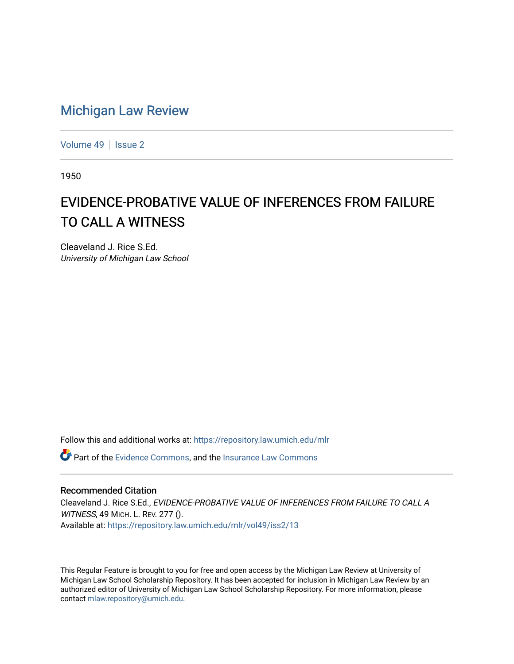## [Michigan Law Review](https://repository.law.umich.edu/mlr)

[Volume 49](https://repository.law.umich.edu/mlr/vol49) | [Issue 2](https://repository.law.umich.edu/mlr/vol49/iss2)

1950

## EVIDENCE-PROBATIVE VALUE OF INFERENCES FROM FAILURE TO CALL A WITNESS

Cleaveland J. Rice S.Ed. University of Michigan Law School

Follow this and additional works at: [https://repository.law.umich.edu/mlr](https://repository.law.umich.edu/mlr?utm_source=repository.law.umich.edu%2Fmlr%2Fvol49%2Fiss2%2F13&utm_medium=PDF&utm_campaign=PDFCoverPages) 

Part of the [Evidence Commons,](http://network.bepress.com/hgg/discipline/601?utm_source=repository.law.umich.edu%2Fmlr%2Fvol49%2Fiss2%2F13&utm_medium=PDF&utm_campaign=PDFCoverPages) and the [Insurance Law Commons](http://network.bepress.com/hgg/discipline/607?utm_source=repository.law.umich.edu%2Fmlr%2Fvol49%2Fiss2%2F13&utm_medium=PDF&utm_campaign=PDFCoverPages) 

## Recommended Citation

Cleaveland J. Rice S.Ed., EVIDENCE-PROBATIVE VALUE OF INFERENCES FROM FAILURE TO CALL A WITNESS, 49 MICH. L. REV. 277 (). Available at: [https://repository.law.umich.edu/mlr/vol49/iss2/13](https://repository.law.umich.edu/mlr/vol49/iss2/13?utm_source=repository.law.umich.edu%2Fmlr%2Fvol49%2Fiss2%2F13&utm_medium=PDF&utm_campaign=PDFCoverPages) 

This Regular Feature is brought to you for free and open access by the Michigan Law Review at University of Michigan Law School Scholarship Repository. It has been accepted for inclusion in Michigan Law Review by an authorized editor of University of Michigan Law School Scholarship Repository. For more information, please contact [mlaw.repository@umich.edu](mailto:mlaw.repository@umich.edu).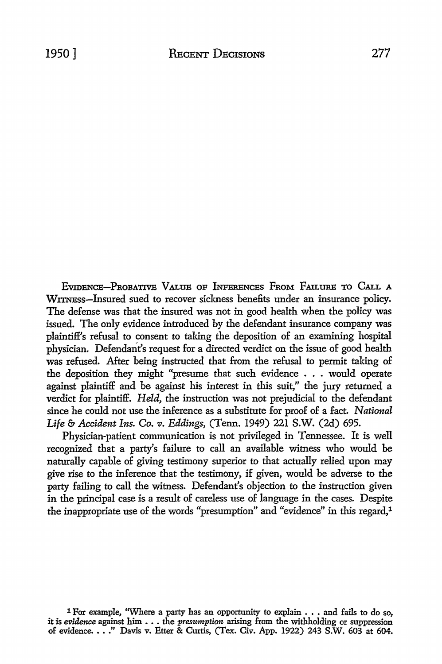EVIDENCE-PROBATIVE VALUE OF INFERENCES FROM FAILURE TO CALL A WITNEss-lnsured sued *to* recover sickness benefits under an insurance policy. The defense was that the insured was not in good health when the policy was issued. The only evidence introduced by the defendant insurance company was plaintiff's refusal *to* consent *to* taking the deposition of an examining hospital physician. Defendant's request for a directed verdict on the issue of good health was refused. After being instructed that from the refusal to permit taking of the deposition they might "presume that such evidence . . . would operate against plaintiff and be against his interest in this suit," the jury returned a verdict for plaintiff. *Held,* the instruction was not prejudicial to the defendant since he could not use the inference as a substitute for proof of a fact. *National Life* & *Accident Ins. Co. v. Eddings,* (Tenn. 1949) 221 S.W. (2d) 695.

Physician-patient communication is not privileged in Tennessee. It is well recognized that a party's failure to call an available witness who would be naturally capable of giving testimony superior *to* that actually relied upon may give rise *to* the inference that the testimony, if given, would be adverse to the party failing *to* call the witness. Defendant's objection to the instruction given in the principal case is a result of careless use of language in the cases. Despite the inappropriate use of the words "presumption" and "evidence" in this regard,1

1 For example, "Where a party has an opportunity to explain • • • and fails to do so, it is *evidence* against him •.• the *presumption* arising from the withholding or suppression of evidence. ••• " Davis v. Etter & Curtis, (Tex. Civ. App. 1922) 243 S.W. 603 at 604.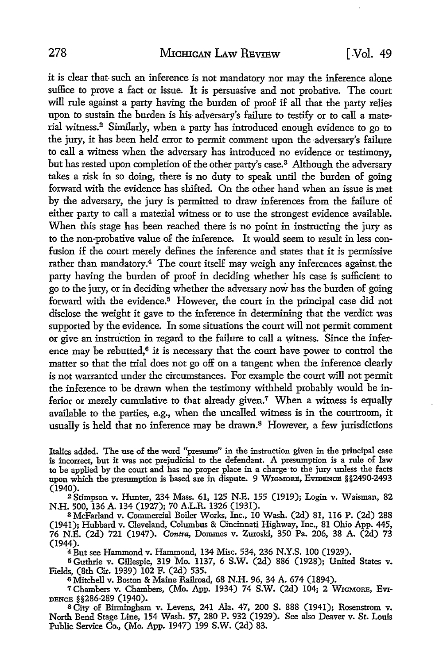it is clear that-such an inference is not mandatory nor may the inference alone suffice to prove a fact or issue. It is persuasive and not probative. The court will rule against a party having the burden of proof if all that the party relies upon to sustain the burden is his- adversary's failure to testify or to call a material witness.<sup>2</sup> Similarly, when a party has introduced enough evidence to go to the jury, it has been held error to permit comment upon the adversary's failure to call a witness when the adversary has introduced no evidence or testimony, but has rested upon completion of the other party's case.<sup>3</sup> Although the adversary takes a risk in so doing, there is no duty to speak until the burden of going forward with the evidence has shifted. On the other hand when an issue is met by the adversary, the jury is permitted to draw inferences from the failure of either party to call a material witness or to use the strongest evidence available. When this stage has been reached there is no point in instructing the jury as to the non-probative value of the inference. It would seem to result in less confusion if the court merely defines the inference and states that it is permissive rather than mandatory.<sup>4</sup> The court itself may weigh any inferences against, the party having the burden of proof in deciding whether his case is sufficient to go to the jury, or in deciding whether the adversary now has the burden of going forward with the evidence.<sup>5</sup> However, the court in the principal case did not disclose the weight it gave to the inference in determining that the verdict was supported by the evidence. In some situations the court will not permit comment or give an instruction in regard to the failure to call a witness. Since the inference may be rebutted, $6$  it is necessary that the court have power to control the matter so that the trial does not go off on a tangent when the inference clearly is not warranted under the circumstances. For example the court will not permit the inference to be drawn when the testimony withheld probably would be inferior or merely cumulative to that already given.<sup>7</sup> When a witness is equally available to the parties, e.g., when the uncalled witness is in the courtroom, it usually is held that no inference may be drawn.<sup>8</sup> However, a few jurisdictions

Italics added. The use of the word "presume" in the instruction given in the principal case is incorrect, but it was not prejudicial to the defendant. A presumption is a rule of law to be applied by the court and has no proper place in a charge·to the jury unless the facts upon which the presumption is based are in dispute. 9 WIGMORE, EvmENcE §§2490-2493 (1940).

2 Stimpson v. Hunter, 234 Mass. 61, 125 N.E. 155 (1919); Login v. Waisman, 82 N.H. 500, 136 A. 134 (1927); 70 A.L.R. 1326 (1931).

<sup>3</sup>McFarland v. Commercial Boiler Works, Inc., 10 Wash. (2d) 81, 116 P. (2d) 288 (1941); Hubbard v. Cleveland, Columbus & Cincinnati Highway, Inc., 81 Ohio App. 445, 76 N.E. (2d) 721 (1947). *Contra,* Dommes v. Zuroski, 350 Pa. 206, 38 A. (2d) 73

<sup>4</sup> But see Hammond v. Hammond, 134 Misc. 534, 236 N.Y.S. 100 (1929).

<sup>5</sup>Guthrie v. Gillespie, 319 Mo. 1137, 6 S.W. (2d) 886 (1928); United States v. Fields, (8th Cir. 1939) 102 F. (2d) 535.

<sup>6</sup>Mitchell v. Boston & Maine Railroad, 68 N.H. 96, 34 A. 674 (1894).

<sup>7</sup> Chambers v. Chambers, (Mo. App. 1934) 74 S.W. (2d) 104; 2 WIGMORE, EvI-DENCE §§286-289 (1940). S City of Birmingham v. Levens, 241 Ala. 47, 200 S. 888 (1941); Rosenstrom v.

North Bend Stage Line, 154 Wash. 57, 280 P. 932 (1929). See also Deaver v. St. Louis Public Service Co., (Mo. App. 1947) 199 S.W. (2d) 83.